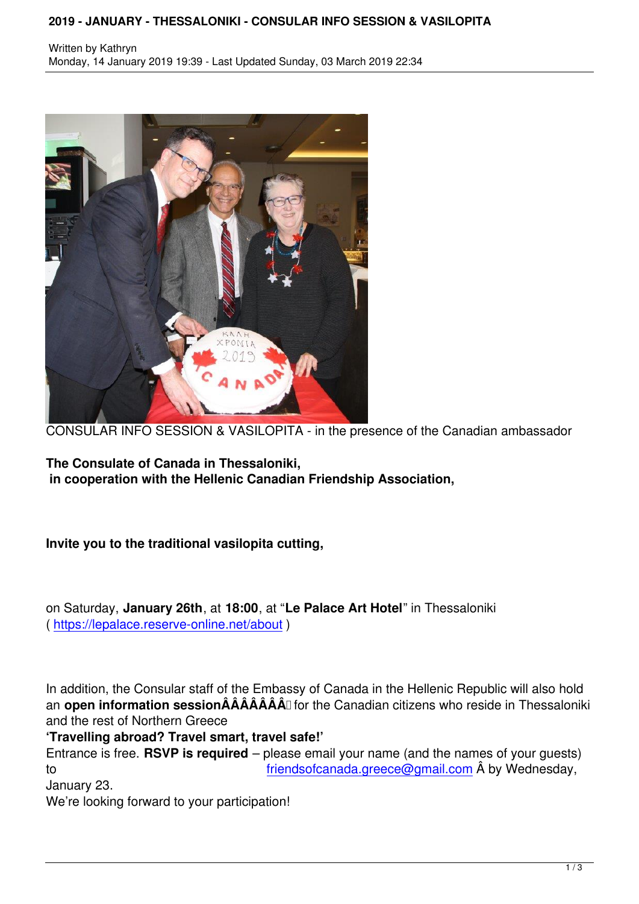

CONSULAR INFO SESSION & VASILOPITA - in the presence of the Canadian ambassador

**The Consulate of Canada in Thessaloniki, in cooperation with the Hellenic Canadian Friendship Association,**

**Invite you to the traditional vasilopita cutting,**

on Saturday, **January 26th**, at **18:00**, at "**Le Palace Art Hotel**" in Thessaloniki ( https://lepalace.reserve-online.net/about )

I[n addition, the Consular staff of the Emba](https://lepalace.reserve-online.net/about)ssy of Canada in the Hellenic Republic will also hold an **open information sessionÂÂÂÂÂÂÂ** for the Canadian citizens who reside in Thessaloniki and the rest of Northern Greece

**'Travelling abroad? Travel smart, travel safe!'**

Entrance is free. **RSVP is required** – please email your name (and the names of your guests) to friendsofcanada.greece@gmail.com  $\hat{A}$  by Wednesday,

January 23.

We're looking forward to your participation!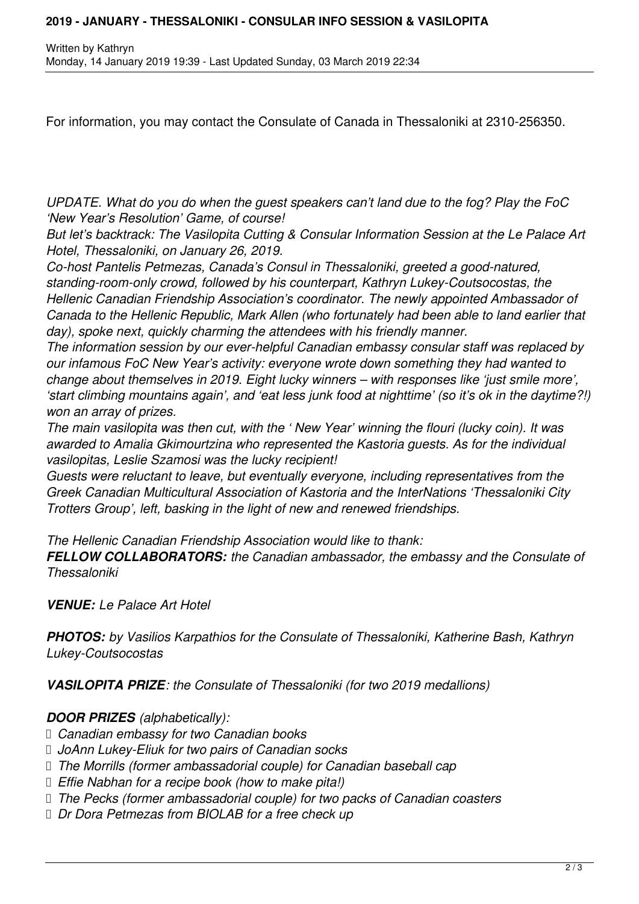For information, you may contact the Consulate of Canada in Thessaloniki at 2310-256350.

*UPDATE. What do you do when the guest speakers can't land due to the fog? Play the FoC 'New Year's Resolution' Game, of course!* 

*But let's backtrack: The Vasilopita Cutting & Consular Information Session at the Le Palace Art Hotel, Thessaloniki, on January 26, 2019.*

*Co-host Pantelis Petmezas, Canada's Consul in Thessaloniki, greeted a good-natured, standing-room-only crowd, followed by his counterpart, Kathryn Lukey-Coutsocostas, the Hellenic Canadian Friendship Association's coordinator. The newly appointed Ambassador of Canada to the Hellenic Republic, Mark Allen (who fortunately had been able to land earlier that day), spoke next, quickly charming the attendees with his friendly manner.*

*The information session by our ever-helpful Canadian embassy consular staff was replaced by our infamous FoC New Year's activity: everyone wrote down something they had wanted to change about themselves in 2019. Eight lucky winners – with responses like 'just smile more', 'start climbing mountains again', and 'eat less junk food at nighttime' (so it's ok in the daytime?!) won an array of prizes.*

*The main vasilopita was then cut, with the ' New Year' winning the flouri (lucky coin). It was awarded to Amalia Gkimourtzina who represented the Kastoria guests. As for the individual vasilopitas, Leslie Szamosi was the lucky recipient!*

*Guests were reluctant to leave, but eventually everyone, including representatives from the Greek Canadian Multicultural Association of Kastoria and the InterNations 'Thessaloniki City Trotters Group', left, basking in the light of new and renewed friendships.*

*The Hellenic Canadian Friendship Association would like to thank:*

*FELLOW COLLABORATORS: the Canadian ambassador, the embassy and the Consulate of Thessaloniki*

*VENUE: Le Palace Art Hotel*

*PHOTOS: by Vasilios Karpathios for the Consulate of Thessaloniki, Katherine Bash, Kathryn Lukey-Coutsocostas*

*VASILOPITA PRIZE: the Consulate of Thessaloniki (for two 2019 medallions)*

*DOOR PRIZES (alphabetically):*

- *Canadian embassy for two Canadian books*
- *JoAnn Lukey-Eliuk for two pairs of Canadian socks*
- *The Morrills (former ambassadorial couple) for Canadian baseball cap*
- *Effie Nabhan for a recipe book (how to make pita!)*
- *The Pecks (former ambassadorial couple) for two packs of Canadian coasters*
- *Dr Dora Petmezas from BIOLAB for a free check up*